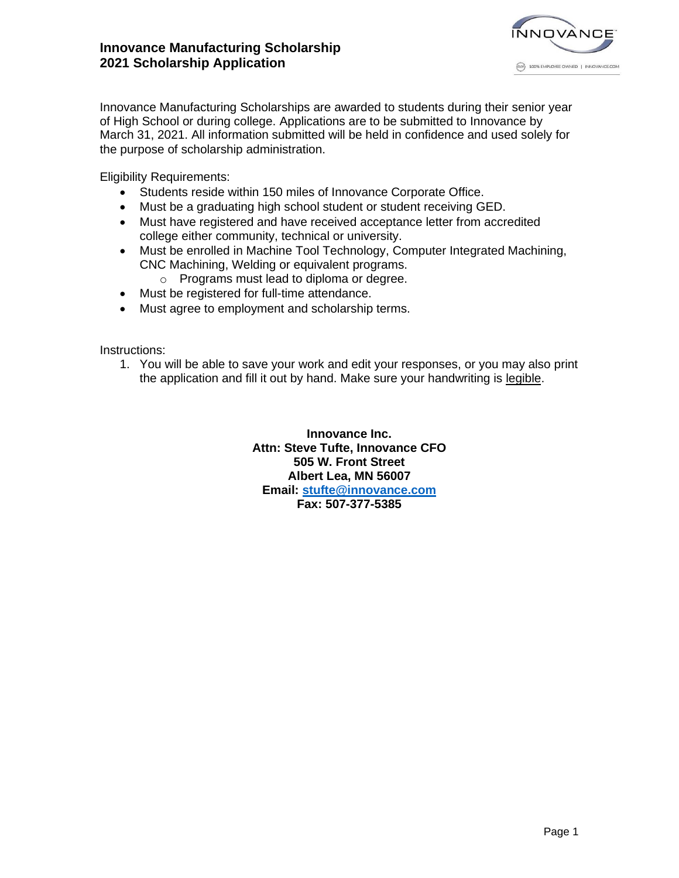

Innovance Manufacturing Scholarships are awarded to students during their senior year of High School or during college. Applications are to be submitted to Innovance by March 31, 2021. All information submitted will be held in confidence and used solely for the purpose of scholarship administration.

Eligibility Requirements:

- Students reside within 150 miles of Innovance Corporate Office.
- Must be a graduating high school student or student receiving GED.
- Must have registered and have received acceptance letter from accredited college either community, technical or university.
- Must be enrolled in Machine Tool Technology, Computer Integrated Machining, CNC Machining, Welding or equivalent programs.
	- o Programs must lead to diploma or degree.
- Must be registered for full-time attendance.
- Must agree to employment and scholarship terms.

Instructions:

1. You will be able to save your work and edit your responses, or you may also print the application and fill it out by hand. Make sure your handwriting is legible.

> **Innovance Inc. Attn: Steve Tufte, Innovance CFO 505 W. Front Street Albert Lea, MN 56007 Email: [stufte@innovance.com](mailto:stufte@innovance.com) Fax: 507-377-5385**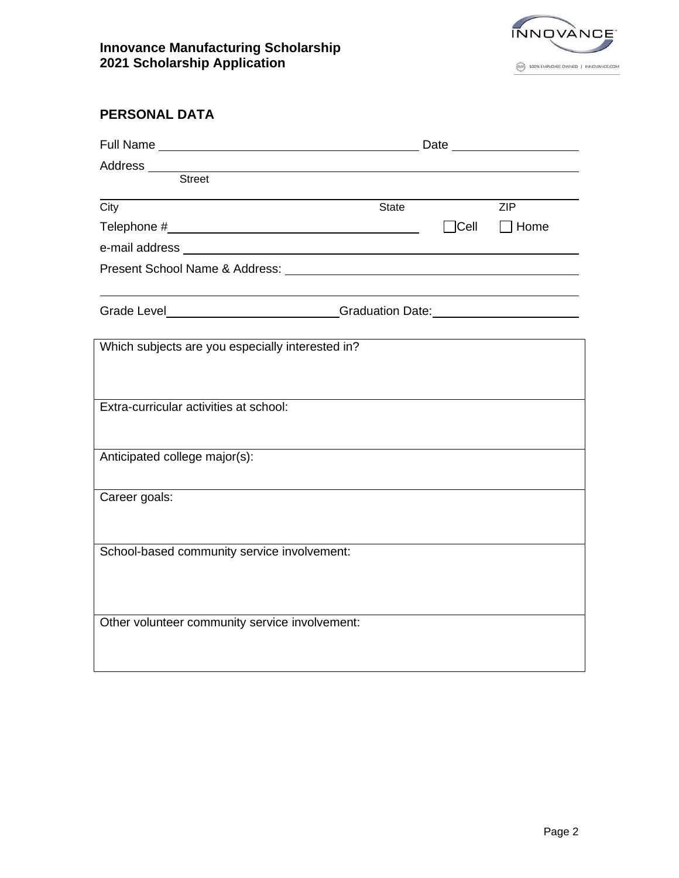

# **PERSONAL DATA**

| Address _______<br><u> 1980 - Johann Barbara, martin amerikan basal dan basal dan basal dan basal dan basal dan basal dan basal dan</u> |       |             |             |  |
|-----------------------------------------------------------------------------------------------------------------------------------------|-------|-------------|-------------|--|
| <b>Street</b>                                                                                                                           |       |             |             |  |
| $\overline{City}$                                                                                                                       | State |             | ZIP         |  |
|                                                                                                                                         |       | $\Box$ Cell | $\Box$ Home |  |
|                                                                                                                                         |       |             |             |  |
|                                                                                                                                         |       |             |             |  |
|                                                                                                                                         |       |             |             |  |
| Grade Level___________________________Graduation Date:__________________________                                                        |       |             |             |  |
|                                                                                                                                         |       |             |             |  |
| Which subjects are you especially interested in?                                                                                        |       |             |             |  |
|                                                                                                                                         |       |             |             |  |
|                                                                                                                                         |       |             |             |  |
| Extra-curricular activities at school:                                                                                                  |       |             |             |  |
|                                                                                                                                         |       |             |             |  |
| Anticipated college major(s):                                                                                                           |       |             |             |  |
|                                                                                                                                         |       |             |             |  |
| Career goals:                                                                                                                           |       |             |             |  |
|                                                                                                                                         |       |             |             |  |
|                                                                                                                                         |       |             |             |  |
| School-based community service involvement:                                                                                             |       |             |             |  |
|                                                                                                                                         |       |             |             |  |
|                                                                                                                                         |       |             |             |  |
| Other volunteer community service involvement:                                                                                          |       |             |             |  |
|                                                                                                                                         |       |             |             |  |
|                                                                                                                                         |       |             |             |  |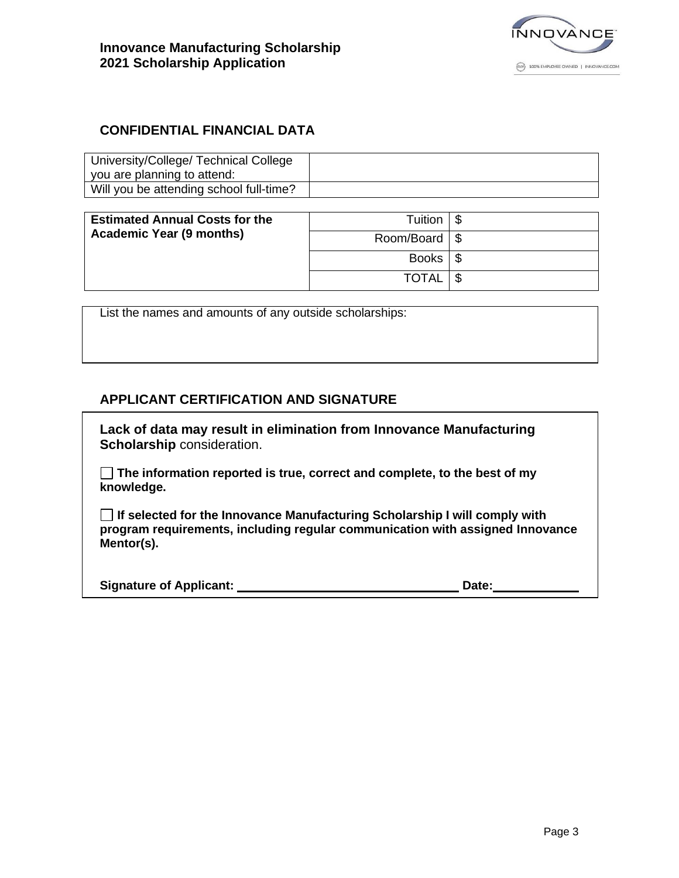

## **CONFIDENTIAL FINANCIAL DATA**

| University/College/ Technical College<br>you are planning to attend: |  |
|----------------------------------------------------------------------|--|
| Will you be attending school full-time?                              |  |

| <b>Estimated Annual Costs for the</b><br><b>Academic Year (9 months)</b> | Tuition                  |  |
|--------------------------------------------------------------------------|--------------------------|--|
|                                                                          | Room/Board $\frac{1}{5}$ |  |
|                                                                          | Books $\frac{1}{3}$      |  |
|                                                                          | <b>TOTAL</b>             |  |

List the names and amounts of any outside scholarships:

#### **APPLICANT CERTIFICATION AND SIGNATURE**

**Lack of data may result in elimination from Innovance Manufacturing Scholarship** consideration.

**The information reported is true, correct and complete, to the best of my knowledge.**

**If selected for the Innovance Manufacturing Scholarship I will comply with program requirements, including regular communication with assigned Innovance Mentor(s).**

| <b>Signature of Applicant:</b> | Date: |  |
|--------------------------------|-------|--|
|                                |       |  |